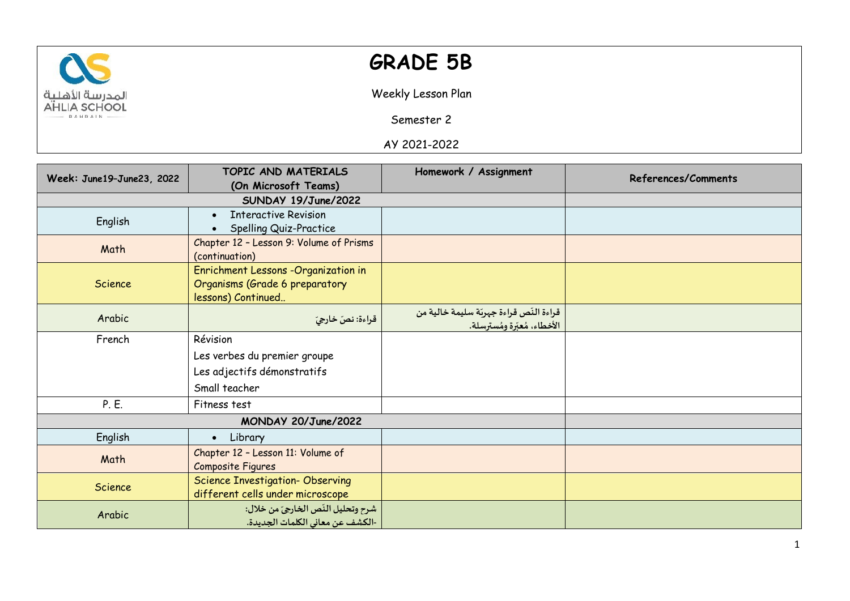

## **GRADE 5B**

Weekly Lesson Plan

Semester 2

AY 2021-2022

| Week: June19-June23, 2022 | TOPIC AND MATERIALS                      | Homework / Assignment                   | References/Comments |
|---------------------------|------------------------------------------|-----------------------------------------|---------------------|
|                           | (On Microsoft Teams)                     |                                         |                     |
|                           |                                          |                                         |                     |
| English                   | <b>Interactive Revision</b><br>$\bullet$ |                                         |                     |
|                           | Spelling Quiz-Practice                   |                                         |                     |
| Math                      | Chapter 12 - Lesson 9: Volume of Prisms  |                                         |                     |
|                           | (continuation)                           |                                         |                     |
|                           | Enrichment Lessons -Organization in      |                                         |                     |
| Science                   | Organisms (Grade 6 preparatory           |                                         |                     |
|                           | lessons) Continued                       |                                         |                     |
| Arabic                    | قراءة: نصّ خارجيّ                        | قراءة النّص قراءة جهربّة سليمة خالية من |                     |
|                           |                                          | <u>الأخطاء، مُعبّرة ومُسترسلة.</u>      |                     |
| French                    | Révision                                 |                                         |                     |
|                           | Les verbes du premier groupe             |                                         |                     |
|                           | Les adjectifs démonstratifs              |                                         |                     |
|                           | Small teacher                            |                                         |                     |
| P. E.                     | Fitness test                             |                                         |                     |
| MONDAY 20/June/2022       |                                          |                                         |                     |
| English                   | • Library                                |                                         |                     |
| Math                      | Chapter 12 - Lesson 11: Volume of        |                                         |                     |
|                           | Composite Figures                        |                                         |                     |
| Science                   | <b>Science Investigation- Observing</b>  |                                         |                     |
|                           | different cells under microscope         |                                         |                     |
| Arabic                    | شرح وتحليل النّص الخارجيّ من خلال:       |                                         |                     |
|                           | -الكشف عن معاني الكلمات الجديدة.         |                                         |                     |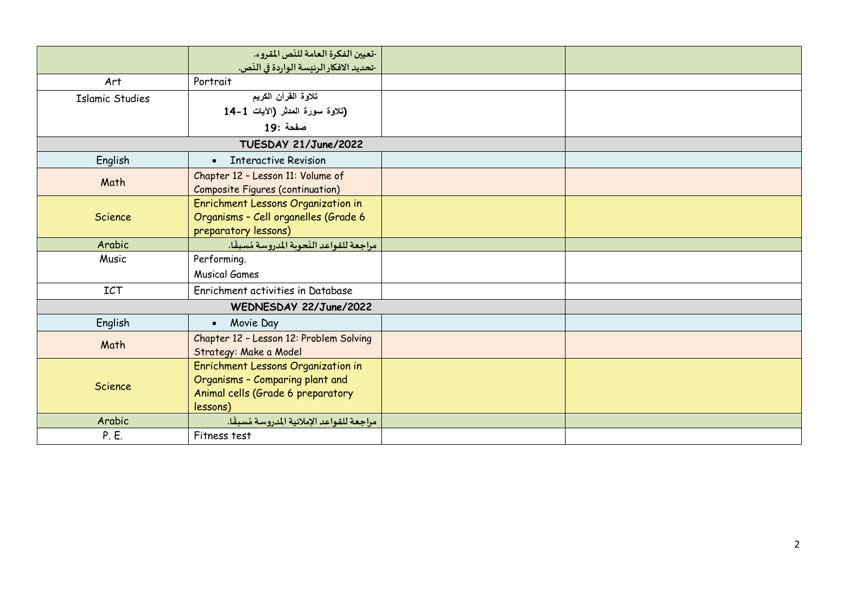|                        | -تعيين الفكرة العامة للنّص المقروء.        |  |  |
|------------------------|--------------------------------------------|--|--|
|                        | -تحديد الافكار الرئيسة الواردة في النّص.   |  |  |
| Art                    | Portrait                                   |  |  |
| <b>Islamic Studies</b> | تلاوة القرآن الكريم                        |  |  |
|                        | (تلاوة سورة المدثر (الآيات 1-14            |  |  |
|                        | صفحة :19                                   |  |  |
|                        | TUESDAY 21/June/2022                       |  |  |
| English                | • Interactive Revision                     |  |  |
| Math                   | Chapter 12 - Lesson 11: Volume of          |  |  |
|                        | <b>Composite Figures (continuation)</b>    |  |  |
|                        | Enrichment Lessons Organization in         |  |  |
| Science                | Organisms - Cell organelles (Grade 6       |  |  |
|                        | preparatory lessons)                       |  |  |
| Arabic                 | مراجعة للقواعد النّحوبة المدروسة مُسبقًا.  |  |  |
| Music                  | Performing.                                |  |  |
|                        | <b>Musical Games</b>                       |  |  |
| <b>ICT</b>             | Enrichment activities in Database          |  |  |
| WEDNESDAY 22/June/2022 |                                            |  |  |
| English                | Movie Day<br>$\bullet$                     |  |  |
| Math                   | Chapter 12 - Lesson 12: Problem Solving    |  |  |
|                        | Strategy: Make a Model                     |  |  |
|                        | Enrichment Lessons Organization in         |  |  |
| Science                | Organisms - Comparing plant and            |  |  |
|                        | Animal cells (Grade 6 preparatory          |  |  |
|                        | lessons)                                   |  |  |
| Arabic                 | مراجعة للقواعد الإملائية المدروسة مُسبقًا. |  |  |
| P. E.                  | Fitness test                               |  |  |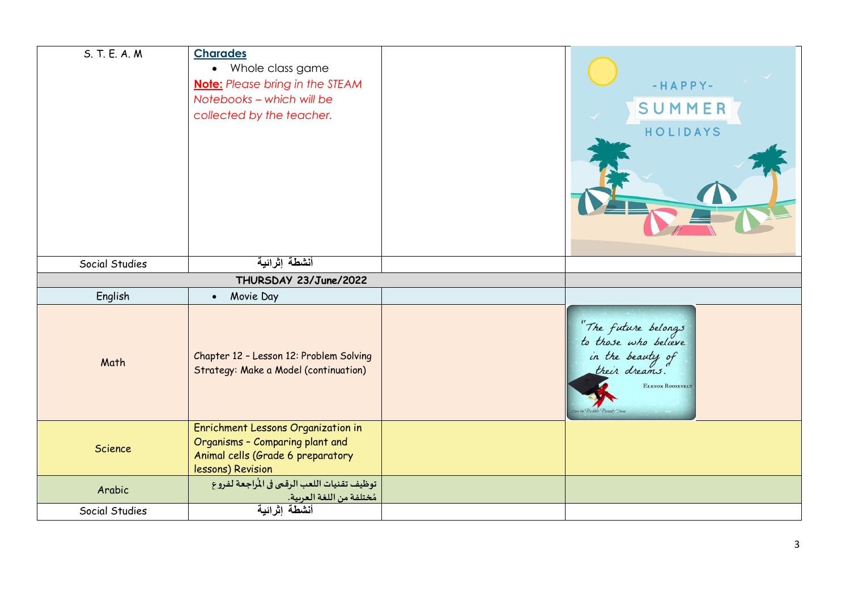| S. T. E. A. M. | <b>Charades</b><br>• Whole class game<br><b>Note:</b> Please bring in the STEAM<br>Notebooks - which will be<br>collected by the teacher. | $-HAPPY-$<br>SUMMER<br>HOLIDAYS                                                                       |
|----------------|-------------------------------------------------------------------------------------------------------------------------------------------|-------------------------------------------------------------------------------------------------------|
| Social Studies | أنشطة إثرائية                                                                                                                             |                                                                                                       |
|                | THURSDAY 23/June/2022                                                                                                                     |                                                                                                       |
| English        | Movie Day<br>$\bullet$                                                                                                                    |                                                                                                       |
| Math           | Chapter 12 - Lesson 12: Problem Solving<br>Strategy: Make a Model (continuation)                                                          | "The future belongs"<br>to those who believe<br>in the beauty of<br>their dreams.<br>ELENOR ROOSEVELT |
| Science        | Enrichment Lessons Organization in<br>Organisms - Comparing plant and<br>Animal cells (Grade 6 preparatory<br>lessons) Revision           |                                                                                                       |
| Arabic         | توظيف تقنيات اللعب الرقمي في المُراجعة لفروع<br>مُختلفة من اللغة العربية.                                                                 |                                                                                                       |
| Social Studies | أنشطة إثرائية                                                                                                                             |                                                                                                       |